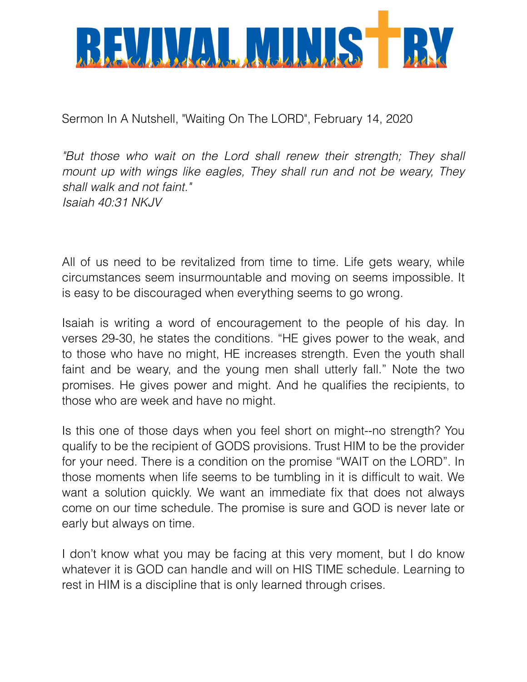

Sermon In A Nutshell, "Waiting On The LORD", February 14, 2020

*"But those who wait on the Lord shall renew their strength; They shall mount up with wings like eagles, They shall run and not be weary, They shall walk and not faint." Isaiah 40:31 NKJV*

All of us need to be revitalized from time to time. Life gets weary, while circumstances seem insurmountable and moving on seems impossible. It is easy to be discouraged when everything seems to go wrong.

Isaiah is writing a word of encouragement to the people of his day. In verses 29-30, he states the conditions. "HE gives power to the weak, and to those who have no might, HE increases strength. Even the youth shall faint and be weary, and the young men shall utterly fall." Note the two promises. He gives power and might. And he qualifies the recipients, to those who are week and have no might.

Is this one of those days when you feel short on might--no strength? You qualify to be the recipient of GODS provisions. Trust HIM to be the provider for your need. There is a condition on the promise "WAIT on the LORD". In those moments when life seems to be tumbling in it is difficult to wait. We want a solution quickly. We want an immediate fix that does not always come on our time schedule. The promise is sure and GOD is never late or early but always on time.

I don't know what you may be facing at this very moment, but I do know whatever it is GOD can handle and will on HIS TIME schedule. Learning to rest in HIM is a discipline that is only learned through crises.